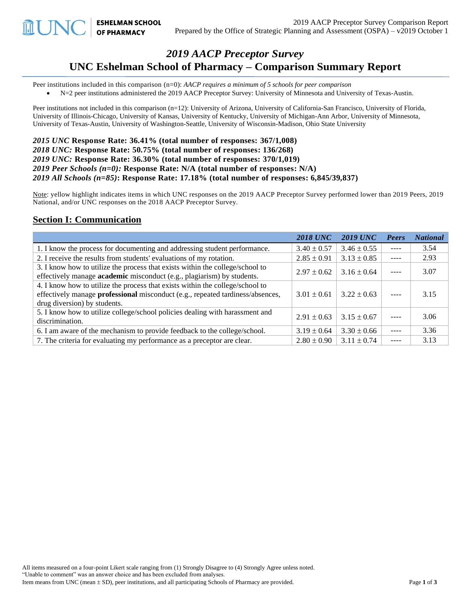# *2019 AACP Preceptor Survey* **UNC Eshelman School of Pharmacy – Comparison Summary Report**

Peer institutions included in this comparison (n=0): *AACP requires a minimum of 5 schools for peer comparison*

• N=2 peer institutions administered the 2019 AACP Preceptor Survey: University of Minnesota and University of Texas-Austin.

Peer institutions not included in this comparison (n=12): University of Arizona, University of California-San Francisco, University of Florida, University of Illinois-Chicago, University of Kansas, University of Kentucky, University of Michigan-Ann Arbor, University of Minnesota, University of Texas-Austin, University of Washington-Seattle, University of Wisconsin-Madison, Ohio State University

*2015 UNC* **Response Rate: 36.41% (total number of responses: 367/1,008)** *2018 UNC:* **Response Rate: 50.75% (total number of responses: 136/268)** *2019 UNC:* **Response Rate: 36.30% (total number of responses: 370/1,019)** *2019 Peer Schools (n=0):* **Response Rate: N/A (total number of responses: N/A)** *2019 All Schools (n=85)***: Response Rate: 17.18% (total number of responses: 6,845/39,837)** 

Note: yellow highlight indicates items in which UNC responses on the 2019 AACP Preceptor Survey performed lower than 2019 Peers, 2019 National, and/or UNC responses on the 2018 AACP Preceptor Survey.

#### **Section I: Communication**

**ESHELMAN SCHOOL OF PHARMACY** 

|                                                                                                                                                                                                 | <b>2018 UNC</b> | <b>2019 UNC</b> | Peers         | <b>National</b> |
|-------------------------------------------------------------------------------------------------------------------------------------------------------------------------------------------------|-----------------|-----------------|---------------|-----------------|
| 1. I know the process for documenting and addressing student performance.                                                                                                                       | $3.40 \pm 0.57$ | $3.46 \pm 0.55$ | $\frac{1}{2}$ | 3.54            |
| 2. I receive the results from students' evaluations of my rotation.                                                                                                                             | $2.85 \pm 0.91$ | $3.13 \pm 0.85$ | $---$         | 2.93            |
| 3. I know how to utilize the process that exists within the college/school to<br>effectively manage academic misconduct (e.g., plagiarism) by students.                                         | $2.97 \pm 0.62$ | $3.16 \pm 0.64$ |               | 3.07            |
| 4. I know how to utilize the process that exists within the college/school to<br>effectively manage professional misconduct (e.g., repeated tardiness/absences,<br>drug diversion) by students. | $3.01 \pm 0.61$ | $3.22 \pm 0.63$ |               | 3.15            |
| 5. I know how to utilize college/school policies dealing with harassment and<br>discrimination.                                                                                                 | $2.91 \pm 0.63$ | $3.15 \pm 0.67$ |               | 3.06            |
| 6. I am aware of the mechanism to provide feedback to the college/school.                                                                                                                       | $3.19 \pm 0.64$ | $3.30 \pm 0.66$ |               | 3.36            |
| 7. The criteria for evaluating my performance as a preceptor are clear.                                                                                                                         | $2.80 \pm 0.90$ | $3.11 \pm 0.74$ | $- - - -$     | 3.13            |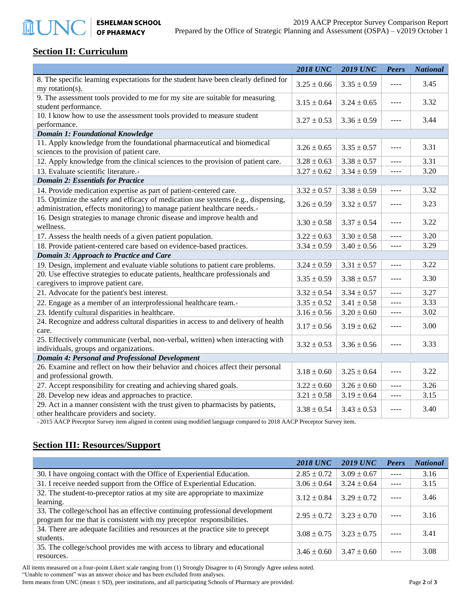#### **Section II: Curriculum**

**血UN** 

|                                                                                                                                                               | <b>2018 UNC</b> | <b>2019 UNC</b> | <b>Peers</b> | <b>National</b> |
|---------------------------------------------------------------------------------------------------------------------------------------------------------------|-----------------|-----------------|--------------|-----------------|
| 8. The specific learning expectations for the student have been clearly defined for<br>my rotation(s).                                                        | $3.25 \pm 0.66$ | $3.35 \pm 0.59$ | ----         | 3.45            |
| 9. The assessment tools provided to me for my site are suitable for measuring<br>student performance.                                                         | $3.15 \pm 0.64$ | $3.24 \pm 0.65$ | ----         | 3.32            |
| 10. I know how to use the assessment tools provided to measure student<br>performance.                                                                        | $3.27 \pm 0.53$ | $3.36 \pm 0.59$ | ----         | 3.44            |
| <b>Domain 1: Foundational Knowledge</b>                                                                                                                       |                 |                 |              |                 |
| 11. Apply knowledge from the foundational pharmaceutical and biomedical<br>sciences to the provision of patient care.                                         | $3.26 \pm 0.65$ | $3.35 \pm 0.57$ | $---$        | 3.31            |
| 12. Apply knowledge from the clinical sciences to the provision of patient care.                                                                              | $3.28 \pm 0.63$ | $3.38 \pm 0.57$ | ----         | 3.31            |
| 13. Evaluate scientific literature.+                                                                                                                          | $3.27 \pm 0.62$ | $3.34 \pm 0.59$ | ----         | 3.20            |
| <b>Domain 2: Essentials for Practice</b>                                                                                                                      |                 |                 |              |                 |
| 14. Provide medication expertise as part of patient-centered care.                                                                                            | $3.32 \pm 0.57$ | $3.38 \pm 0.59$ | ----         | 3.32            |
| 15. Optimize the safety and efficacy of medication use systems (e.g., dispensing,<br>administration, effects monitoring) to manage patient healthcare needs.+ | $3.26 \pm 0.59$ | $3.32 \pm 0.57$ | ----         | 3.23            |
| 16. Design strategies to manage chronic disease and improve health and<br>wellness.                                                                           | $3.30 \pm 0.58$ | $3.37 \pm 0.54$ | ----         | 3.22            |
| 17. Assess the health needs of a given patient population.                                                                                                    | $3.22 \pm 0.63$ | $3.30 \pm 0.58$ | ----         | 3.20            |
| 18. Provide patient-centered care based on evidence-based practices.                                                                                          | $3.34 \pm 0.59$ | $3.40 \pm 0.56$ | $---$        | 3.29            |
| Domain 3: Approach to Practice and Care                                                                                                                       |                 |                 |              |                 |
| 19. Design, implement and evaluate viable solutions to patient care problems.                                                                                 | $3.24 \pm 0.59$ | $3.31 \pm 0.57$ | $\cdots$     | 3.22            |
| 20. Use effective strategies to educate patients, healthcare professionals and<br>caregivers to improve patient care.                                         | $3.35 \pm 0.59$ | $3.38 \pm 0.57$ | $\cdots$     | 3.30            |
| 21. Advocate for the patient's best interest.                                                                                                                 | $3.32 \pm 0.54$ | $3.34 \pm 0.57$ | $---$        | 3.27            |
| 22. Engage as a member of an interprofessional healthcare team.+                                                                                              | $3.35 \pm 0.52$ | $3.41 \pm 0.58$ | $---$        | 3.33            |
| 23. Identify cultural disparities in healthcare.                                                                                                              | $3.16 \pm 0.56$ | $3.20 \pm 0.60$ | ----         | 3.02            |
| 24. Recognize and address cultural disparities in access to and delivery of health<br>care.                                                                   | $3.17 \pm 0.56$ | $3.19 \pm 0.62$ | $---$        | 3.00            |
| 25. Effectively communicate (verbal, non-verbal, written) when interacting with<br>individuals, groups and organizations.                                     | $3.32 \pm 0.53$ | $3.36 \pm 0.56$ | ----         | 3.33            |
| <b>Domain 4: Personal and Professional Development</b>                                                                                                        |                 |                 |              |                 |
| 26. Examine and reflect on how their behavior and choices affect their personal<br>and professional growth.                                                   | $3.18 \pm 0.60$ | $3.25 \pm 0.64$ | $---$        | 3.22            |
| 27. Accept responsibility for creating and achieving shared goals.                                                                                            | $3.22 \pm 0.60$ | $3.26 \pm 0.60$ | ----         | 3.26            |
| 28. Develop new ideas and approaches to practice.                                                                                                             | $3.21 \pm 0.58$ | $3.19 \pm 0.64$ | ----         | 3.15            |
| 29. Act in a manner consistent with the trust given to pharmacists by patients,<br>other healthcare providers and society.                                    | $3.38 \pm 0.54$ | $3.43 \pm 0.53$ | ----         | 3.40            |

<sup>+</sup>2015 AACP Preceptor Survey item aligned in content using modified language compared to 2018 AACP Preceptor Survey item.

### **Section III: Resources/Support**

|                                                                                                                                                      | <b>2018 UNC</b> | <b>2019 UNC</b> | Peers | <b>National</b> |
|------------------------------------------------------------------------------------------------------------------------------------------------------|-----------------|-----------------|-------|-----------------|
| 30. I have ongoing contact with the Office of Experiential Education.                                                                                | $2.85 \pm 0.72$ | $3.09 \pm 0.67$ | $---$ | 3.16            |
| 31. I receive needed support from the Office of Experiential Education.                                                                              | $3.06 \pm 0.64$ | $3.24 \pm 0.64$ |       | 3.15            |
| 32. The student-to-preceptor ratios at my site are appropriate to maximize<br>learning.                                                              | $3.12 \pm 0.84$ | $3.29 \pm 0.72$ | ----  | 3.46            |
| 33. The college/school has an effective continuing professional development<br>program for me that is consistent with my preceptor responsibilities. | $2.95 \pm 0.72$ | $3.23 \pm 0.70$ |       | 3.16            |
| 34. There are adequate facilities and resources at the practice site to precept<br>students.                                                         | $3.08 \pm 0.75$ | $3.23 \pm 0.75$ |       | 3.41            |
| 35. The college/school provides me with access to library and educational<br>resources.                                                              | $3.46 \pm 0.60$ | $3.47 \pm 0.60$ |       | 3.08            |

All items measured on a four-point Likert scale ranging from (1) Strongly Disagree to (4) Strongly Agree unless noted. "Unable to comment" was an answer choice and has been excluded from analyses. Item means from UNC (mean  $\pm$  SD), peer institutions, and all participating Schools of Pharmacy are provided. Page 2 of 3